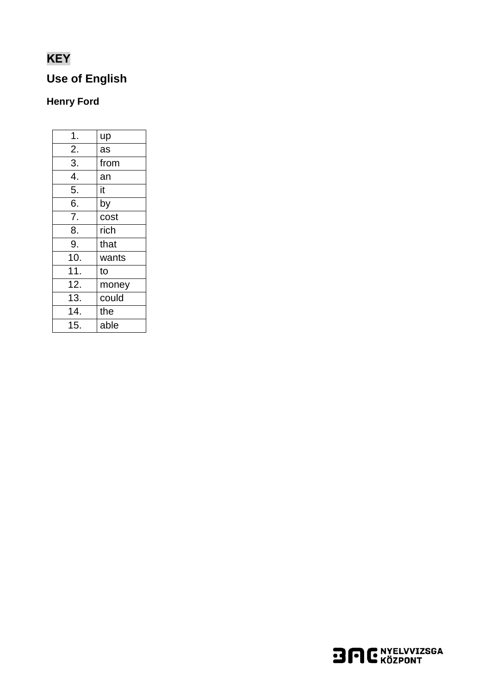# **KEY**

## **Use of English**

### **Henry Ford**

| 1.               | up    |
|------------------|-------|
| 2.               | as    |
| 3.               | from  |
| $\overline{4}$ . | an    |
| 5.               | it    |
| 6.               | by    |
| 7.               | cost  |
| 8.               | rich  |
| 9.               | that  |
| 10.              | wants |
| 11.              | to    |
| 12.              | money |
| 13.              | could |
| 14.              | the   |
| 15.              | able  |